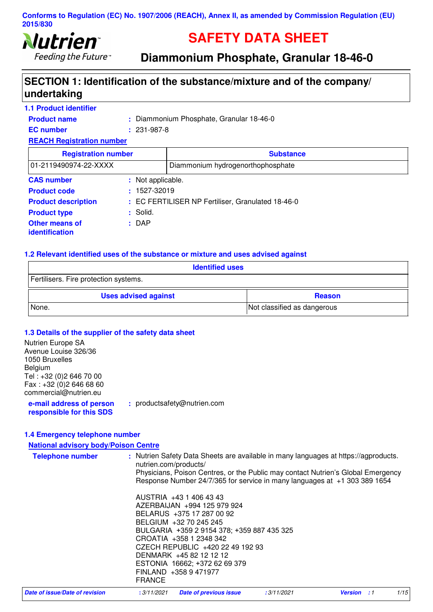

# **SAFETY DATA SHEET**

**Diammonium Phosphate, Granular 18-46-0** 

# **SECTION 1: Identification of the substance/mixture and of the company/ undertaking**

### **1.1 Product identifier**

| <b>Product name</b> | : Diammonium Phosphate, Granular 18-46-0 |
|---------------------|------------------------------------------|
| <b>EC</b> number    | $: 231-987-8$                            |

#### **REACH Registration number**

| <b>Registration number</b>                     |                   | <b>Substance</b>                                  |
|------------------------------------------------|-------------------|---------------------------------------------------|
| 01-2119490974-22-XXXX                          |                   | Diammonium hydrogenorthophosphate                 |
| <b>CAS number</b>                              | : Not applicable. |                                                   |
| <b>Product code</b>                            | $: 1527 - 32019$  |                                                   |
| <b>Product description</b>                     |                   | : EC FERTILISER NP Fertiliser, Granulated 18-46-0 |
| <b>Product type</b>                            | : Solid.          |                                                   |
| <b>Other means of</b><br><i>identification</i> | $:$ DAP           |                                                   |

#### **1.2 Relevant identified uses of the substance or mixture and uses advised against**

| <b>Identified uses</b>                |                             |  |  |
|---------------------------------------|-----------------------------|--|--|
| Fertilisers. Fire protection systems. |                             |  |  |
| <b>Uses advised against</b>           | <b>Reason</b>               |  |  |
| None.                                 | Not classified as dangerous |  |  |

#### **1.3 Details of the supplier of the safety data sheet**

Nutrien Europe SA Avenue Louise 326/36 1050 Bruxelles Belgium Tel : +32 (0)2 646 70 00 Fax : +32 (0)2 646 68 60 commercial@nutrien.eu

**e-mail address of person responsible for this SDS :** productsafety@nutrien.com

#### **1.4 Emergency telephone number**

#### **National advisory body/Poison Centre**

| <b>Telephone number</b>        | nutrien.com/products/ | : Nutrien Safety Data Sheets are available in many languages at https://agproducts.<br>Physicians, Poison Centres, or the Public may contact Nutrien's Global Emergency<br>Response Number 24/7/365 for service in many languages at +1 303 389 1654                                                            |            |                    |      |
|--------------------------------|-----------------------|-----------------------------------------------------------------------------------------------------------------------------------------------------------------------------------------------------------------------------------------------------------------------------------------------------------------|------------|--------------------|------|
|                                | <b>FRANCE</b>         | AUSTRIA +43 1 406 43 43<br>AZERBAIJAN +994 125 979 924<br>BELARUS +375 17 287 00 92<br>BELGIUM +32 70 245 245<br>BULGARIA +359 2 9154 378; +359 887 435 325<br>CROATIA +358 1 2348 342<br>CZECH REPUBLIC +420 22 49 192 93<br>DENMARK +45 82 12 12 12<br>ESTONIA 16662; +372 62 69 379<br>FINLAND +358 9 471977 |            |                    |      |
| Date of issue/Date of revision | : 3/11/2021           | <b>Date of previous issue</b>                                                                                                                                                                                                                                                                                   | :3/11/2021 | <b>Version</b> : 1 | 1/15 |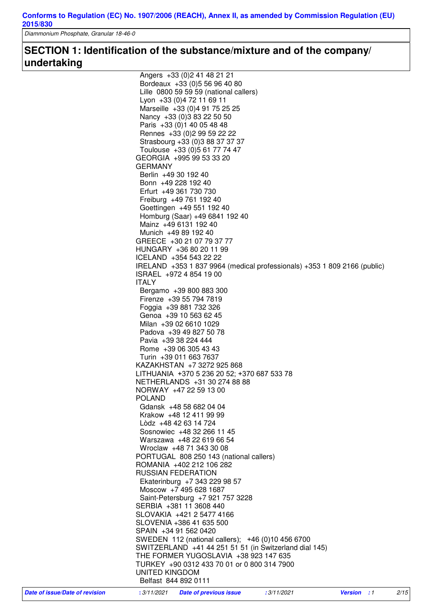Diammonium Phosphate, Granular 18-46-0

# **SECTION 1: Identification of the substance/mixture and of the company/ undertaking**

|                                |                | Angers +33 (0) 2 41 48 21 21<br>Bordeaux +33 (0) 5 56 96 40 80<br>Lille 0800 59 59 59 (national callers) |            |                    |      |
|--------------------------------|----------------|----------------------------------------------------------------------------------------------------------|------------|--------------------|------|
|                                |                | Lyon +33 (0)4 72 11 69 11<br>Marseille +33 (0)4 91 75 25 25                                              |            |                    |      |
|                                |                | Nancy +33 (0) 3 83 22 50 50                                                                              |            |                    |      |
|                                |                | Paris +33 (0) 1 40 05 48 48<br>Rennes +33 (0) 2 99 59 22 22                                              |            |                    |      |
|                                |                | Strasbourg +33 (0)3 88 37 37 37                                                                          |            |                    |      |
|                                |                | Toulouse +33 (0) 5 61 77 74 47                                                                           |            |                    |      |
|                                |                | GEORGIA +995 99 53 33 20                                                                                 |            |                    |      |
|                                | GERMANY        | Berlin +49 30 192 40                                                                                     |            |                    |      |
|                                |                | Bonn +49 228 192 40                                                                                      |            |                    |      |
|                                |                | Erfurt +49 361 730 730                                                                                   |            |                    |      |
|                                |                | Freiburg +49 761 192 40                                                                                  |            |                    |      |
|                                |                | Goettingen +49 551 192 40                                                                                |            |                    |      |
|                                |                | Homburg (Saar) +49 6841 192 40<br>Mainz +49 6131 192 40                                                  |            |                    |      |
|                                |                | Munich +49 89 192 40                                                                                     |            |                    |      |
|                                |                | GREECE +30 21 07 79 37 77                                                                                |            |                    |      |
|                                |                | HUNGARY +36 80 20 11 99                                                                                  |            |                    |      |
|                                |                | ICELAND +354 543 22 22<br>IRELAND +353 1 837 9964 (medical professionals) +353 1 809 2166 (public)       |            |                    |      |
|                                |                | ISRAEL +972 4 854 19 00                                                                                  |            |                    |      |
|                                | <b>ITALY</b>   |                                                                                                          |            |                    |      |
|                                |                | Bergamo +39 800 883 300                                                                                  |            |                    |      |
|                                |                | Firenze +39 55 794 7819<br>Foggia +39 881 732 326                                                        |            |                    |      |
|                                |                | Genoa +39 10 563 62 45                                                                                   |            |                    |      |
|                                |                | Milan +39 02 6610 1029                                                                                   |            |                    |      |
|                                |                | Padova +39 49 827 50 78                                                                                  |            |                    |      |
|                                |                | Pavia +39 38 224 444<br>Rome +39 06 305 43 43                                                            |            |                    |      |
|                                |                | Turin +39 011 663 7637                                                                                   |            |                    |      |
|                                |                | KAZAKHSTAN +7 3272 925 868                                                                               |            |                    |      |
|                                |                | LITHUANIA +370 5 236 20 52; +370 687 533 78                                                              |            |                    |      |
|                                |                | NETHERLANDS +31 30 274 88 88<br>NORWAY +47 22 59 13 00                                                   |            |                    |      |
|                                | POLAND         |                                                                                                          |            |                    |      |
|                                |                | Gdansk +48 58 682 04 04                                                                                  |            |                    |      |
|                                |                | Krakow +48 12 411 99 99                                                                                  |            |                    |      |
|                                |                | Lòdz +48 42 63 14 724                                                                                    |            |                    |      |
|                                |                | Sosnowiec +48 32 266 11 45<br>Warszawa +48 22 619 66 54                                                  |            |                    |      |
|                                |                | Wroclaw +48 71 343 30 08                                                                                 |            |                    |      |
|                                |                | PORTUGAL 808 250 143 (national callers)                                                                  |            |                    |      |
|                                |                | ROMANIA +402 212 106 282                                                                                 |            |                    |      |
|                                |                | <b>RUSSIAN FEDERATION</b><br>Ekaterinburg +7 343 229 98 57                                               |            |                    |      |
|                                |                | Moscow +7 495 628 1687                                                                                   |            |                    |      |
|                                |                | Saint-Petersburg +7 921 757 3228                                                                         |            |                    |      |
|                                |                | SERBIA +381 11 3608 440                                                                                  |            |                    |      |
|                                |                | SLOVAKIA +421 2 5477 4166<br>SLOVENIA +386 41 635 500                                                    |            |                    |      |
|                                |                | SPAIN +34 91 562 0420                                                                                    |            |                    |      |
|                                |                | SWEDEN 112 (national callers); +46 (0)10 456 6700                                                        |            |                    |      |
|                                |                | SWITZERLAND +41 44 251 51 51 (in Switzerland dial 145)                                                   |            |                    |      |
|                                |                | THE FORMER YUGOSLAVIA +38 923 147 635<br>TURKEY +90 0312 433 70 01 or 0 800 314 7900                     |            |                    |      |
|                                | UNITED KINGDOM |                                                                                                          |            |                    |      |
|                                |                | Belfast 844 892 0111                                                                                     |            |                    |      |
| Date of issue/Date of revision | : 3/11/2021    | <b>Date of previous issue</b>                                                                            | :3/11/2021 | <b>Version</b> : 1 | 2/15 |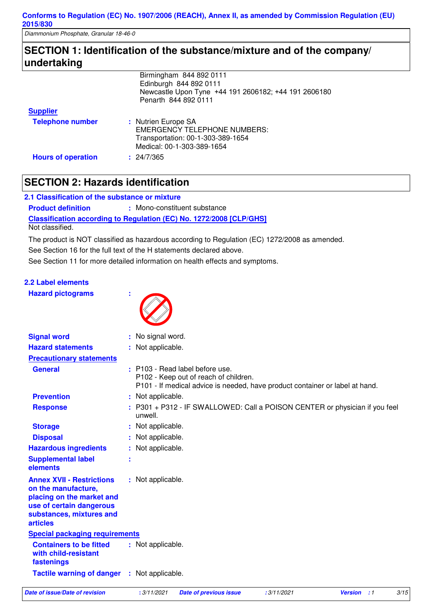Diammonium Phosphate, Granular 18-46-0

# **SECTION 1: Identification of the substance/mixture and of the company/ undertaking**

|                           | Birmingham 844 892 0111<br>Edinburgh 844 892 0111<br>Newcastle Upon Tyne +44 191 2606182; +44 191 2606180                     |
|---------------------------|-------------------------------------------------------------------------------------------------------------------------------|
|                           | Penarth 844 892 0111                                                                                                          |
| <b>Supplier</b>           |                                                                                                                               |
| <b>Telephone number</b>   | : Nutrien Europe SA<br><b>EMERGENCY TELEPHONE NUMBERS:</b><br>Transportation: 00-1-303-389-1654<br>Medical: 00-1-303-389-1654 |
| <b>Hours of operation</b> | : 24/7/365                                                                                                                    |

# **SECTION 2: Hazards identification**

#### **2.1 Classification of the substance or mixture**

**Classification according to Regulation (EC) No. 1272/2008 [CLP/GHS] Product definition :** Mono-constituent substance Not classified.

See Section 11 for more detailed information on health effects and symptoms. See Section 16 for the full text of the H statements declared above. The product is NOT classified as hazardous according to Regulation (EC) 1272/2008 as amended.

### **2.2 Label elements**

**Hazard pictograms :**



| <b>Signal word</b>                                                                                                                                              |    | : No signal word.                                                                                                                                          |
|-----------------------------------------------------------------------------------------------------------------------------------------------------------------|----|------------------------------------------------------------------------------------------------------------------------------------------------------------|
| <b>Hazard statements</b>                                                                                                                                        |    | : Not applicable.                                                                                                                                          |
| <b>Precautionary statements</b>                                                                                                                                 |    |                                                                                                                                                            |
| <b>General</b>                                                                                                                                                  |    | $:$ P103 - Read label before use.<br>P102 - Keep out of reach of children.<br>P101 - If medical advice is needed, have product container or label at hand. |
| <b>Prevention</b>                                                                                                                                               |    | : Not applicable.                                                                                                                                          |
| <b>Response</b>                                                                                                                                                 |    | : P301 + P312 - IF SWALLOWED: Call a POISON CENTER or physician if you feel<br>unwell.                                                                     |
| <b>Storage</b>                                                                                                                                                  |    | : Not applicable.                                                                                                                                          |
| <b>Disposal</b>                                                                                                                                                 |    | : Not applicable.                                                                                                                                          |
| <b>Hazardous ingredients</b>                                                                                                                                    |    | : Not applicable.                                                                                                                                          |
| <b>Supplemental label</b><br>elements                                                                                                                           | ÷. |                                                                                                                                                            |
| <b>Annex XVII - Restrictions</b><br>on the manufacture,<br>placing on the market and<br>use of certain dangerous<br>substances, mixtures and<br><b>articles</b> |    | : Not applicable.                                                                                                                                          |
| <b>Special packaging requirements</b>                                                                                                                           |    |                                                                                                                                                            |
| <b>Containers to be fitted</b><br>with child-resistant<br>fastenings                                                                                            |    | : Not applicable.                                                                                                                                          |
| <b>Tactile warning of danger</b>                                                                                                                                |    | : Not applicable.                                                                                                                                          |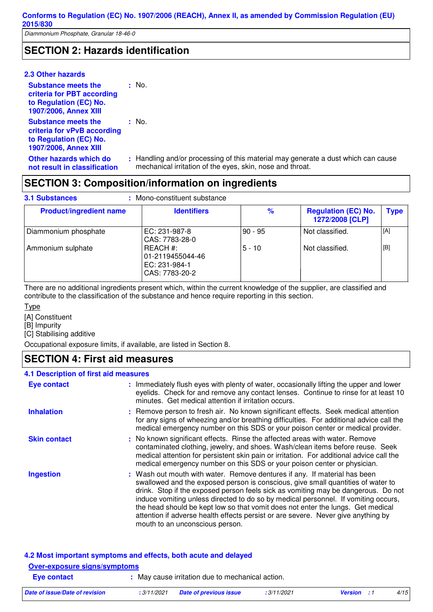Diammonium Phosphate, Granular 18-46-0

# **SECTION 2: Hazards identification**

#### **2.3 Other hazards**

| <b>Substance meets the</b><br>criteria for PBT according<br>to Regulation (EC) No.<br>1907/2006, Annex XIII  | $:$ No.                                                                                                                                        |
|--------------------------------------------------------------------------------------------------------------|------------------------------------------------------------------------------------------------------------------------------------------------|
| <b>Substance meets the</b><br>criteria for vPvB according<br>to Regulation (EC) No.<br>1907/2006, Annex XIII | $:$ No.                                                                                                                                        |
| Other hazards which do<br>not result in classification                                                       | : Handling and/or processing of this material may generate a dust which can cause<br>mechanical irritation of the eyes, skin, nose and throat. |
|                                                                                                              | <b>SECTION 3: Composition/information on ingredients</b>                                                                                       |

#### **3.1 Substances**

| <b>3.1 Substances</b>          | : Mono-constituent substance                                    |               |                                               |             |
|--------------------------------|-----------------------------------------------------------------|---------------|-----------------------------------------------|-------------|
| <b>Product/ingredient name</b> | <b>Identifiers</b>                                              | $\frac{9}{6}$ | <b>Regulation (EC) No.</b><br>1272/2008 [CLP] | <b>Type</b> |
| Diammonium phosphate           | EC: 231-987-8<br>CAS: 7783-28-0                                 | 90 - 95       | Not classified.                               | [A]         |
| Ammonium sulphate              | REACH #:<br>01-2119455044-46<br>EC: 231-984-1<br>CAS: 7783-20-2 | $5 - 10$      | Not classified.                               | [B]         |

There are no additional ingredients present which, within the current knowledge of the supplier, are classified and contribute to the classification of the substance and hence require reporting in this section.

#### Type

[A] Constituent

[B] Impurity

[C] Stabilising additive

Occupational exposure limits, if available, are listed in Section 8.

### **SECTION 4: First aid measures**

#### **4.1 Description of first aid measures**

| <b>Eye contact</b>  | : Immediately flush eyes with plenty of water, occasionally lifting the upper and lower<br>eyelids. Check for and remove any contact lenses. Continue to rinse for at least 10<br>minutes. Get medical attention if irritation occurs.                                                                                                                                                                                                                                                                                                              |
|---------------------|-----------------------------------------------------------------------------------------------------------------------------------------------------------------------------------------------------------------------------------------------------------------------------------------------------------------------------------------------------------------------------------------------------------------------------------------------------------------------------------------------------------------------------------------------------|
| <b>Inhalation</b>   | : Remove person to fresh air. No known significant effects. Seek medical attention<br>for any signs of wheezing and/or breathing difficulties. For additional advice call the<br>medical emergency number on this SDS or your poison center or medical provider.                                                                                                                                                                                                                                                                                    |
| <b>Skin contact</b> | : No known significant effects. Rinse the affected areas with water. Remove<br>contaminated clothing, jewelry, and shoes. Wash/clean items before reuse. Seek<br>medical attention for persistent skin pain or irritation. For additional advice call the<br>medical emergency number on this SDS or your poison center or physician.                                                                                                                                                                                                               |
| <b>Ingestion</b>    | : Wash out mouth with water. Remove dentures if any. If material has been<br>swallowed and the exposed person is conscious, give small quantities of water to<br>drink. Stop if the exposed person feels sick as vomiting may be dangerous. Do not<br>induce vomiting unless directed to do so by medical personnel. If vomiting occurs,<br>the head should be kept low so that vomit does not enter the lungs. Get medical<br>attention if adverse health effects persist or are severe. Never give anything by<br>mouth to an unconscious person. |

#### **4.2 Most important symptoms and effects, both acute and delayed**

### **Over-exposure signs/symptoms**

| <b>Eye contact</b> | May cause irritation due to mechanical action. |  |
|--------------------|------------------------------------------------|--|
|                    |                                                |  |

| Date of issue/Date of revision | $:3/11/2021$ Date of previous issue | :3/11/2021 | <b>Version</b> : 1 | 4/15 |
|--------------------------------|-------------------------------------|------------|--------------------|------|
|--------------------------------|-------------------------------------|------------|--------------------|------|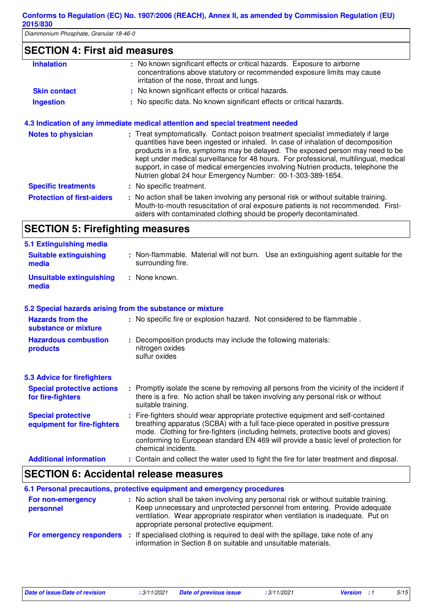Diammonium Phosphate, Granular 18-46-0

| <b>SECTION 4: First aid measures</b> |  |
|--------------------------------------|--|
|--------------------------------------|--|

| <b>Inhalation</b>                 | : No known significant effects or critical hazards. Exposure to airborne<br>concentrations above statutory or recommended exposure limits may cause<br>irritation of the nose, throat and lungs.                                                                                                                                                                                                                                                                                                     |
|-----------------------------------|------------------------------------------------------------------------------------------------------------------------------------------------------------------------------------------------------------------------------------------------------------------------------------------------------------------------------------------------------------------------------------------------------------------------------------------------------------------------------------------------------|
| <b>Skin contact</b>               | : No known significant effects or critical hazards.                                                                                                                                                                                                                                                                                                                                                                                                                                                  |
| <b>Ingestion</b>                  | : No specific data. No known significant effects or critical hazards.                                                                                                                                                                                                                                                                                                                                                                                                                                |
|                                   | 4.3 Indication of any immediate medical attention and special treatment needed                                                                                                                                                                                                                                                                                                                                                                                                                       |
| <b>Notes to physician</b>         | : Treat symptomatically. Contact poison treatment specialist immediately if large<br>quantities have been ingested or inhaled. In case of inhalation of decomposition<br>products in a fire, symptoms may be delayed. The exposed person may need to be<br>kept under medical surveillance for 48 hours. For professional, multilingual, medical<br>support, in case of medical emergencies involving Nutrien products, telephone the<br>Nutrien global 24 hour Emergency Number: 00-1-303-389-1654. |
| <b>Specific treatments</b>        | : No specific treatment.                                                                                                                                                                                                                                                                                                                                                                                                                                                                             |
| <b>Protection of first-aiders</b> | : No action shall be taken involving any personal risk or without suitable training.<br>Mouth-to-mouth resuscitation of oral exposure patients is not recommended. First-<br>aiders with contaminated clothing should be properly decontaminated.                                                                                                                                                                                                                                                    |

# **SECTION 5: Firefighting measures**

| 5.1 Extinguishing media                                   |                                                                                                                                                                                                                                                                                                                                                                     |
|-----------------------------------------------------------|---------------------------------------------------------------------------------------------------------------------------------------------------------------------------------------------------------------------------------------------------------------------------------------------------------------------------------------------------------------------|
| <b>Suitable extinguishing</b><br>media                    | : Non-flammable. Material will not burn. Use an extinguishing agent suitable for the<br>surrounding fire.                                                                                                                                                                                                                                                           |
| <b>Unsuitable extinguishing</b><br>media                  | : None known.                                                                                                                                                                                                                                                                                                                                                       |
| 5.2 Special hazards arising from the substance or mixture |                                                                                                                                                                                                                                                                                                                                                                     |
| <b>Hazards from the</b><br>substance or mixture           | : No specific fire or explosion hazard. Not considered to be flammable.                                                                                                                                                                                                                                                                                             |
| <b>Hazardous combustion</b><br>products                   | : Decomposition products may include the following materials:<br>nitrogen oxides<br>sulfur oxides                                                                                                                                                                                                                                                                   |
| <b>5.3 Advice for firefighters</b>                        |                                                                                                                                                                                                                                                                                                                                                                     |
| <b>Special protective actions</b><br>for fire-fighters    | : Promptly isolate the scene by removing all persons from the vicinity of the incident if<br>there is a fire. No action shall be taken involving any personal risk or without<br>suitable training.                                                                                                                                                                 |
| <b>Special protective</b><br>equipment for fire-fighters  | Fire-fighters should wear appropriate protective equipment and self-contained<br>breathing apparatus (SCBA) with a full face-piece operated in positive pressure<br>mode. Clothing for fire-fighters (including helmets, protective boots and gloves)<br>conforming to European standard EN 469 will provide a basic level of protection for<br>chemical incidents. |
| <b>Additional information</b>                             | : Contain and collect the water used to fight the fire for later treatment and disposal.                                                                                                                                                                                                                                                                            |
|                                                           |                                                                                                                                                                                                                                                                                                                                                                     |

# **SECTION 6: Accidental release measures**

| 6.1 Personal precautions, protective equipment and emergency procedures |                                                                                                                                                                                                                                                                                                     |  |
|-------------------------------------------------------------------------|-----------------------------------------------------------------------------------------------------------------------------------------------------------------------------------------------------------------------------------------------------------------------------------------------------|--|
| For non-emergency<br>personnel                                          | : No action shall be taken involving any personal risk or without suitable training.<br>Keep unnecessary and unprotected personnel from entering. Provide adequate<br>ventilation. Wear appropriate respirator when ventilation is inadequate. Put on<br>appropriate personal protective equipment. |  |
| For emergency responders                                                | : If specialised clothing is required to deal with the spillage, take note of any<br>information in Section 8 on suitable and unsuitable materials.                                                                                                                                                 |  |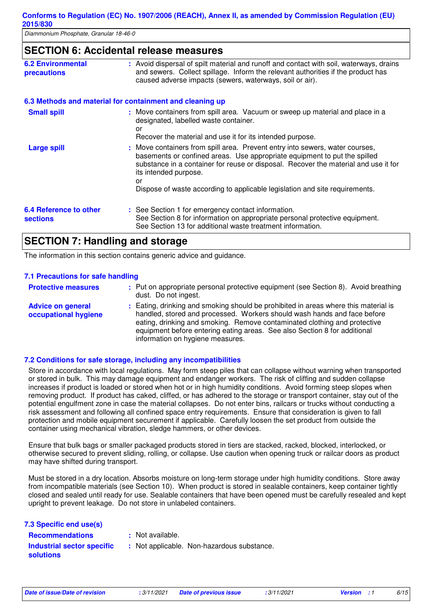| Diammonium Fhosphate, Gianuiai 10-40-0        |                                                                                                                                                                                                                                                                                                                                              |  |  |  |
|-----------------------------------------------|----------------------------------------------------------------------------------------------------------------------------------------------------------------------------------------------------------------------------------------------------------------------------------------------------------------------------------------------|--|--|--|
| <b>SECTION 6: Accidental release measures</b> |                                                                                                                                                                                                                                                                                                                                              |  |  |  |
| <b>6.2 Environmental</b><br>precautions       | : Avoid dispersal of spilt material and runoff and contact with soil, waterways, drains<br>and sewers. Collect spillage. Inform the relevant authorities if the product has<br>caused adverse impacts (sewers, waterways, soil or air).                                                                                                      |  |  |  |
|                                               | 6.3 Methods and material for containment and cleaning up                                                                                                                                                                                                                                                                                     |  |  |  |
| <b>Small spill</b>                            | : Move containers from spill area. Vacuum or sweep up material and place in a<br>designated, labelled waste container.<br>or                                                                                                                                                                                                                 |  |  |  |
| <b>Large spill</b>                            | Recover the material and use it for its intended purpose.<br>: Move containers from spill area. Prevent entry into sewers, water courses,<br>basements or confined areas. Use appropriate equipment to put the spilled<br>substance in a container for reuse or disposal. Recover the material and use it for<br>its intended purpose.<br>or |  |  |  |
| <b>6.4 Reference to other</b>                 | Dispose of waste according to applicable legislation and site requirements.<br>: See Section 1 for emergency contact information.                                                                                                                                                                                                            |  |  |  |
| <b>sections</b>                               | See Section 8 for information on appropriate personal protective equipment.<br>See Section 13 for additional waste treatment information.                                                                                                                                                                                                    |  |  |  |

# **SECTION 7: Handling and storage**

The information in this section contains generic advice and guidance.

#### **7.1 Precautions for safe handling**

| <b>Protective measures</b>                       | : Put on appropriate personal protective equipment (see Section 8). Avoid breathing<br>dust. Do not ingest.                                                                                                                                                                                                                                                   |
|--------------------------------------------------|---------------------------------------------------------------------------------------------------------------------------------------------------------------------------------------------------------------------------------------------------------------------------------------------------------------------------------------------------------------|
| <b>Advice on general</b><br>occupational hygiene | : Eating, drinking and smoking should be prohibited in areas where this material is<br>handled, stored and processed. Workers should wash hands and face before<br>eating, drinking and smoking. Remove contaminated clothing and protective<br>equipment before entering eating areas. See also Section 8 for additional<br>information on hygiene measures. |

#### **7.2 Conditions for safe storage, including any incompatibilities**

Store in accordance with local regulations. May form steep piles that can collapse without warning when transported or stored in bulk. This may damage equipment and endanger workers. The risk of cliffing and sudden collapse increases if product is loaded or stored when hot or in high humidity conditions. Avoid forming steep slopes when removing product. If product has caked, cliffed, or has adhered to the storage or transport container, stay out of the potential engulfment zone in case the material collapses. Do not enter bins, railcars or trucks without conducting a risk assessment and following all confined space entry requirements. Ensure that consideration is given to fall protection and mobile equipment securement if applicable. Carefully loosen the set product from outside the container using mechanical vibration, sledge hammers, or other devices.

Ensure that bulk bags or smaller packaged products stored in tiers are stacked, racked, blocked, interlocked, or otherwise secured to prevent sliding, rolling, or collapse. Use caution when opening truck or railcar doors as product may have shifted during transport.

Must be stored in a dry location. Absorbs moisture on long-term storage under high humidity conditions. Store away from incompatible materials (see Section 10). When product is stored in sealable containers, keep container tightly closed and sealed until ready for use. Sealable containers that have been opened must be carefully resealed and kept upright to prevent leakage. Do not store in unlabeled containers.

| 7.3 Specific end use(s)                        |                                            |
|------------------------------------------------|--------------------------------------------|
| <b>Recommendations</b>                         | : Not available.                           |
| Industrial sector specific<br><b>solutions</b> | : Not applicable. Non-hazardous substance. |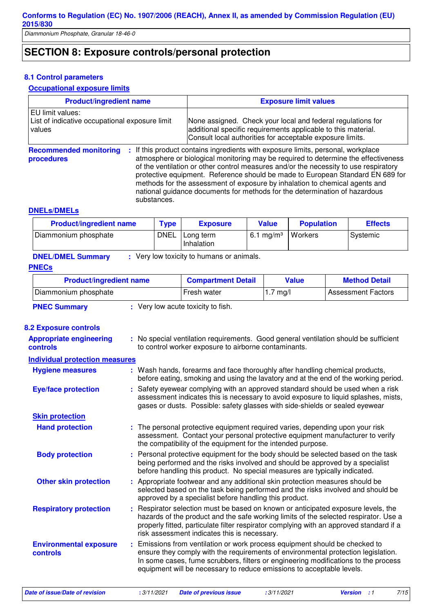# **SECTION 8: Exposure controls/personal protection**

#### **8.1 Control parameters**

#### **Occupational exposure limits**

| <b>Product/ingredient name</b>                                                      | <b>Exposure limit values</b>                                                                                                                                                                                                                                   |  |
|-------------------------------------------------------------------------------------|----------------------------------------------------------------------------------------------------------------------------------------------------------------------------------------------------------------------------------------------------------------|--|
| <b>EU limit values:</b><br>List of indicative occupational exposure limit<br>values | None assigned. Check your local and federal regulations for<br>additional specific requirements applicable to this material.<br>Consult local authorities for acceptable exposure limits.                                                                      |  |
| <b>Recommended monitoring</b><br>procedures                                         | : If this product contains ingredients with exposure limits, personal, workplace<br>atmosphere or biological monitoring may be required to determine the effectiveness<br>of the ventilation or other control measures and/or the necessity to use respiratory |  |

of the ventilation or other control measures and/or the necessity to use respiratory protective equipment. Reference should be made to European Standard EN 689 for methods for the assessment of exposure by inhalation to chemical agents and national guidance documents for methods for the determination of hazardous substances.

#### **DNELs/DMELs**

| <b>Product/ingredient name</b> | <b>Type</b> | <b>Exposure</b>         | <b>Value</b>         | <b>Population</b> | <b>Effects</b> |
|--------------------------------|-------------|-------------------------|----------------------|-------------------|----------------|
| Diammonium phosphate           | <b>DNEL</b> | Long term<br>Inhalation | $6.1 \text{ mg/m}^3$ | Workers           | Systemic       |

**DNEL/DMEL Summary :** Very low toxicity to humans or animals.

#### **PNECs**

| <b>Product/ingredient name</b> | <b>Compartment Detail</b>          | <b>Value</b>       | <b>Method Detail</b>      |
|--------------------------------|------------------------------------|--------------------|---------------------------|
| Diammonium phosphate           | Fresh water                        | $1.7 \text{ mg}/I$ | <b>Assessment Factors</b> |
| <b>PNEC Summary</b>            | : Very low acute toxicity to fish. |                    |                           |

#### **8.2 Exposure controls**

| <b>Appropriate engineering</b><br>controls | : No special ventilation requirements. Good general ventilation should be sufficient<br>to control worker exposure to airborne contaminants.                                                                                                                                                                                    |
|--------------------------------------------|---------------------------------------------------------------------------------------------------------------------------------------------------------------------------------------------------------------------------------------------------------------------------------------------------------------------------------|
| <b>Individual protection measures</b>      |                                                                                                                                                                                                                                                                                                                                 |
| <b>Hygiene measures</b>                    | : Wash hands, forearms and face thoroughly after handling chemical products,<br>before eating, smoking and using the lavatory and at the end of the working period.                                                                                                                                                             |
| <b>Eye/face protection</b>                 | : Safety eyewear complying with an approved standard should be used when a risk<br>assessment indicates this is necessary to avoid exposure to liquid splashes, mists,<br>gases or dusts. Possible: safety glasses with side-shields or sealed eyewear                                                                          |
| <b>Skin protection</b>                     |                                                                                                                                                                                                                                                                                                                                 |
| <b>Hand protection</b>                     | : The personal protective equipment required varies, depending upon your risk<br>assessment. Contact your personal protective equipment manufacturer to verify<br>the compatibility of the equipment for the intended purpose.                                                                                                  |
| <b>Body protection</b>                     | : Personal protective equipment for the body should be selected based on the task<br>being performed and the risks involved and should be approved by a specialist<br>before handling this product. No special measures are typically indicated.                                                                                |
| <b>Other skin protection</b>               | : Appropriate footwear and any additional skin protection measures should be<br>selected based on the task being performed and the risks involved and should be<br>approved by a specialist before handling this product.                                                                                                       |
| <b>Respiratory protection</b>              | : Respirator selection must be based on known or anticipated exposure levels, the<br>hazards of the product and the safe working limits of the selected respirator. Use a<br>properly fitted, particulate filter respirator complying with an approved standard if a<br>risk assessment indicates this is necessary.            |
| <b>Environmental exposure</b><br>controls  | : Emissions from ventilation or work process equipment should be checked to<br>ensure they comply with the requirements of environmental protection legislation.<br>In some cases, fume scrubbers, filters or engineering modifications to the process<br>equipment will be necessary to reduce emissions to acceptable levels. |

**Date of issue/Date of revision :** 3/11/2021 **Date of previous issue :** 3/11/2021 **Version :** 1 7/15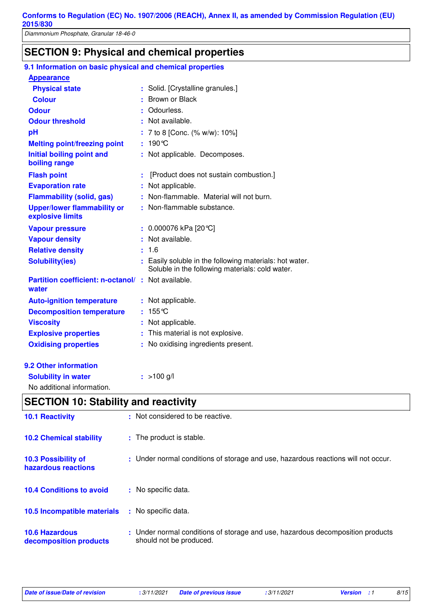Diammonium Phosphate, Granular 18-46-0

# **SECTION 9: Physical and chemical properties**

| 9.1 Information on basic physical and chemical properties  |                                                                                                            |
|------------------------------------------------------------|------------------------------------------------------------------------------------------------------------|
| <b>Appearance</b>                                          |                                                                                                            |
| <b>Physical state</b>                                      | : Solid. [Crystalline granules.]                                                                           |
| <b>Colour</b>                                              | : Brown or Black                                                                                           |
| <b>Odour</b>                                               | Odourless.                                                                                                 |
| <b>Odour threshold</b>                                     | : Not available.                                                                                           |
| pH                                                         | 7 to 8 [Conc. (% w/w): 10%]                                                                                |
| <b>Melting point/freezing point</b>                        | : $190^{\circ}$ C                                                                                          |
| Initial boiling point and<br>boiling range                 | : Not applicable. Decomposes.                                                                              |
| <b>Flash point</b>                                         | [Product does not sustain combustion.]                                                                     |
| <b>Evaporation rate</b>                                    | : Not applicable.                                                                                          |
| <b>Flammability (solid, gas)</b>                           | : Non-flammable. Material will not burn.                                                                   |
| <b>Upper/lower flammability or</b><br>explosive limits     | : Non-flammable substance.                                                                                 |
| <b>Vapour pressure</b>                                     | : $0.000076$ kPa [20 °C]                                                                                   |
| <b>Vapour density</b>                                      | : Not available.                                                                                           |
| <b>Relative density</b>                                    | : 1.6                                                                                                      |
| <b>Solubility(ies)</b>                                     | : Easily soluble in the following materials: hot water.<br>Soluble in the following materials: cold water. |
| Partition coefficient: n-octanol/: Not available.<br>water |                                                                                                            |
| <b>Auto-ignition temperature</b>                           | : Not applicable.                                                                                          |
| <b>Decomposition temperature</b>                           | : $155^{\circ}$ C                                                                                          |
| <b>Viscosity</b>                                           | Not applicable.                                                                                            |
| <b>Explosive properties</b>                                | This material is not explosive.                                                                            |
| <b>Oxidising properties</b>                                | : No oxidising ingredients present.                                                                        |
| 9.2 Other information                                      |                                                                                                            |
| <b>Solubility in water</b>                                 | $:$ >100 g/l                                                                                               |

No additional information.

# **SECTION 10: Stability and reactivity**

| <b>10.1 Reactivity</b>                            | : Not considered to be reactive.                                                                          |
|---------------------------------------------------|-----------------------------------------------------------------------------------------------------------|
| <b>10.2 Chemical stability</b>                    | : The product is stable.                                                                                  |
| <b>10.3 Possibility of</b><br>hazardous reactions | : Under normal conditions of storage and use, hazardous reactions will not occur.                         |
| <b>10.4 Conditions to avoid</b>                   | : No specific data.                                                                                       |
| <b>10.5 Incompatible materials</b>                | : No specific data.                                                                                       |
| <b>10.6 Hazardous</b><br>decomposition products   | : Under normal conditions of storage and use, hazardous decomposition products<br>should not be produced. |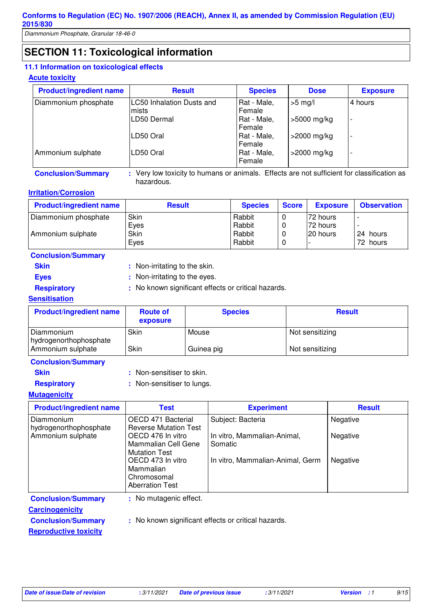Diammonium Phosphate, Granular 18-46-0

# **SECTION 11: Toxicological information**

#### **11.1 Information on toxicological effects**

#### **Acute toxicity**

| <b>Product/ingredient name</b>                                                                                          | <b>Result</b>             | <b>Species</b>        | <b>Dose</b>        | <b>Exposure</b> |  |
|-------------------------------------------------------------------------------------------------------------------------|---------------------------|-----------------------|--------------------|-----------------|--|
| Diammonium phosphate                                                                                                    | LC50 Inhalation Dusts and | Rat - Male,           | $>5$ mg/l          | 4 hours         |  |
|                                                                                                                         | mists                     | Female                |                    |                 |  |
|                                                                                                                         | LD50 Dermal               | Rat - Male,<br>Female | $\mid$ >5000 mg/kg |                 |  |
|                                                                                                                         | LD50 Oral                 | Rat - Male,<br>Female | >2000 mg/kg        |                 |  |
| Ammonium sulphate                                                                                                       | LD50 Oral                 | Rat - Male,<br>Female | >2000 mg/kg        |                 |  |
| : Very low toxicity to humans or animals. Effects are not sufficient for classification as<br><b>Conclusion/Summary</b> |                           |                       |                    |                 |  |

hazardous.

#### **Irritation/Corrosion**

| <b>Product/ingredient name</b> | <b>Result</b> | <b>Species</b> | <b>Score</b> | <b>Exposure</b> | <b>Observation</b> |
|--------------------------------|---------------|----------------|--------------|-----------------|--------------------|
| Diammonium phosphate           | Skin          | Rabbit         | 0            | 72 hours        |                    |
|                                | Eyes          | Rabbit         | 0            | 72 hours        |                    |
| Ammonium sulphate              | Skin          | Rabbit         | 0            | 20 hours        | 24 hours           |
|                                | Eyes          | Rabbit         | 0            |                 | 72 hours           |

#### **Conclusion/Summary**

- 
- **Skin** : Non-irritating to the skin.
- 
- **Eyes** : Non-irritating to the eyes.
- 
- **Respiratory :** No known significant effects or critical hazards.

#### **Sensitisation**

| <b>Product/ingredient name</b>              | <b>Route of</b><br>exposure | <b>Species</b> | <b>Result</b>   |
|---------------------------------------------|-----------------------------|----------------|-----------------|
| Diammonium                                  | Skin                        | Mouse          | Not sensitizing |
| hydrogenorthophosphate<br>Ammonium sulphate | Skin                        | Guinea pig     | Not sensitizing |

#### **Conclusion/Summary**

**Skin** : Non-sensitiser to skin.

**Respiratory** : Non-sensitiser to lungs.

#### **Mutagenicity**

| <b>Product/ingredient name</b>       | <b>Test</b>                                                             | <b>Experiment</b>                      | <b>Result</b> |
|--------------------------------------|-------------------------------------------------------------------------|----------------------------------------|---------------|
| Diammonium<br>hydrogenorthophosphate | OECD 471 Bacterial<br><b>Reverse Mutation Test</b>                      | Subject: Bacteria                      | Negative      |
| Ammonium sulphate                    | OECD 476 In vitro<br>Mammalian Cell Gene<br><b>Mutation Test</b>        | In vitro, Mammalian-Animal,<br>Somatic | Negative      |
|                                      | OECD 473 In vitro<br>Mammalian<br>Chromosomal<br><b>Aberration Test</b> | In vitro, Mammalian-Animal, Germ       | Negative      |
| <b>Conclusion/Summary</b>            | : No mutagenic effect.                                                  |                                        |               |
| <b>Carcinogenicity</b>               |                                                                         |                                        |               |

- 
- 
- **Conclusion/Summary** : No known significant effects or critical hazards.
- **Reproductive toxicity**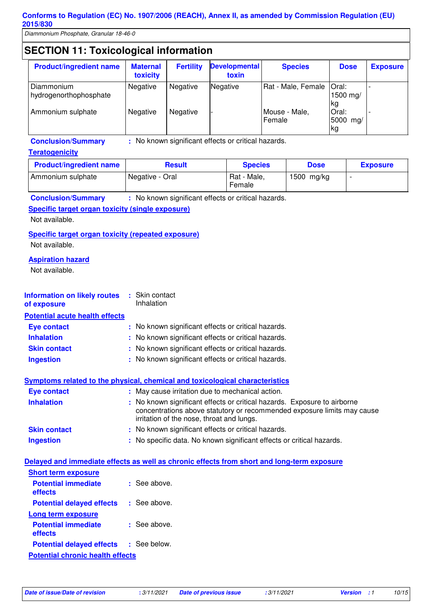Diammonium Phosphate, Granular 18-46-0

# **SECTION 11: Toxicological information**

| <b>Product/ingredient name</b>                            | <b>Maternal</b><br>toxicity | <b>Fertility</b>     | <b>Developmental</b><br>toxin | <b>Species</b>                                         | <b>Dose</b>                                 | <b>Exposure</b> |
|-----------------------------------------------------------|-----------------------------|----------------------|-------------------------------|--------------------------------------------------------|---------------------------------------------|-----------------|
| Diammonium<br>hydrogenorthophosphate<br>Ammonium sulphate | Negative<br>Negative        | Negative<br>Negative | Negative                      | Rat - Male, Female   Oral:<br>Mouse - Male,<br> Female | 1500 mg/<br> kg<br>Oral:<br>5000 mg/<br> kg |                 |

### **Conclusion/Summary**

#### **Teratogenicity**

| <b>Product/ingredient name</b> | <b>Result</b>   | <b>Species</b>        | <b>Dose</b>  | <b>Exposure</b>          |
|--------------------------------|-----------------|-----------------------|--------------|--------------------------|
| Ammonium sulphate              | Negative - Oral | Rat - Male,<br>Female | 1500 $mg/kg$ | $\overline{\phantom{0}}$ |

#### **Conclusion/Summary :** No known significant effects or critical hazards.

#### **Specific target organ toxicity (single exposure)**

Not available.

#### **Specific target organ toxicity (repeated exposure)**

Not available.

#### **Aspiration hazard**

Not available.

| <b>Information on likely routes</b><br>of exposure | : Skin contact<br>Inhalation                                                                                                     |  |
|----------------------------------------------------|----------------------------------------------------------------------------------------------------------------------------------|--|
| <b>Potential acute health effects</b>              |                                                                                                                                  |  |
| Eye contact                                        | : No known significant effects or critical hazards.                                                                              |  |
| <b>Inhalation</b>                                  | : No known significant effects or critical hazards.                                                                              |  |
| <b>Skin contact</b>                                | : No known significant effects or critical hazards.                                                                              |  |
| <b>Ingestion</b>                                   | : No known significant effects or critical hazards.                                                                              |  |
| Eve contact                                        | Symptoms related to the physical, chemical and toxicological characteristics<br>: May cause irritation due to mechanical action. |  |

| <b>Inhalation</b>   | : No known significant effects or critical hazards. Exposure to airborne<br>concentrations above statutory or recommended exposure limits may cause<br>irritation of the nose, throat and lungs. |
|---------------------|--------------------------------------------------------------------------------------------------------------------------------------------------------------------------------------------------|
| <b>Skin contact</b> | : No known significant effects or critical hazards.                                                                                                                                              |

#### **Ingestion** No specific data. No known significant effects or critical hazards. **:**

#### **Delayed and immediate effects as well as chronic effects from short and long-term exposure**

| <b>Short term exposure</b>              |                  |
|-----------------------------------------|------------------|
| <b>Potential immediate</b>              | $\pm$ See above. |
| effects                                 |                  |
| <b>Potential delayed effects</b>        | : See above.     |
| Long term exposure                      |                  |
| <b>Potential immediate</b><br>effects   | : See above.     |
|                                         |                  |
| <b>Potential delayed effects</b>        | : See below.     |
| <b>Potential chronic health effects</b> |                  |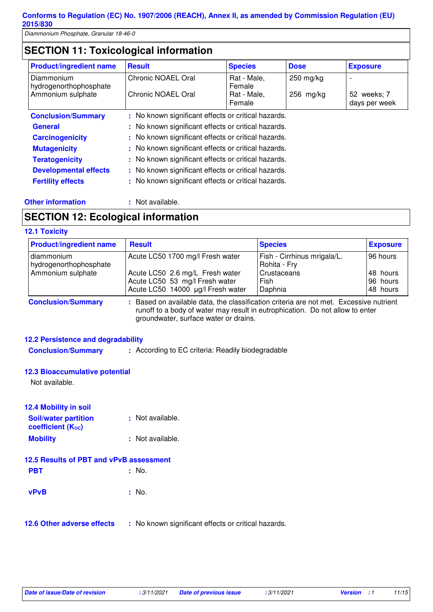# **SECTION 11: Toxicological information**

| <b>Product/ingredient name</b>       | <b>Result</b>                                       | <b>Species</b>                       | <b>Dose</b>    | <b>Exposure</b>              |  |
|--------------------------------------|-----------------------------------------------------|--------------------------------------|----------------|------------------------------|--|
| Diammonium<br>hydrogenorthophosphate | Chronic NOAEL Oral                                  | Rat - Male,<br>$250$ mg/kg<br>Female |                |                              |  |
| Ammonium sulphate                    | Chronic NOAEL Oral                                  | Rat - Male,<br>Female                | $256 \; mg/kg$ | 52 weeks; 7<br>days per week |  |
| <b>Conclusion/Summary</b>            | : No known significant effects or critical hazards. |                                      |                |                              |  |
| <b>General</b>                       | : No known significant effects or critical hazards. |                                      |                |                              |  |
| <b>Carcinogenicity</b>               | : No known significant effects or critical hazards. |                                      |                |                              |  |
| <b>Mutagenicity</b>                  | : No known significant effects or critical hazards. |                                      |                |                              |  |
| <b>Teratogenicity</b>                | : No known significant effects or critical hazards. |                                      |                |                              |  |
| <b>Developmental effects</b>         | : No known significant effects or critical hazards. |                                      |                |                              |  |
| <b>Fertility effects</b>             | : No known significant effects or critical hazards. |                                      |                |                              |  |

**Other information :** Not available.

## **SECTION 12: Ecological information**

#### **12.1 Toxicity**

| <b>Product/ingredient name</b>         | <b>Result</b>                                                                                          | <b>Species</b>                              | <b>Exposure</b>                  |
|----------------------------------------|--------------------------------------------------------------------------------------------------------|---------------------------------------------|----------------------------------|
| I diammonium<br>hydrogenorthophosphate | Acute LC50 1700 mg/l Fresh water                                                                       | Fish - Cirrhinus mrigala/L.<br>Rohita - Fry | 96 hours                         |
| Ammonium sulphate                      | Acute LC50 2.6 mg/L Fresh water<br>Acute LC50 53 mg/l Fresh water<br>Acute LC50 14000 µg/l Fresh water | Crustaceans<br>Fish<br>Daphnia              | 48 hours<br>96 hours<br>48 hours |
| <b>Conclusion/Summary</b>              | • Based on available data the classification criteria are not met. Excessive nutrient                  |                                             |                                  |

**Conclusion/Summary :** Based on available data, the classification criteria are not met. Excessive nutrient runoff to a body of water may result in eutrophication. Do not allow to enter groundwater, surface water or drains.

#### **12.2 Persistence and degradability**

**Conclusion/Summary :** According to EC criteria: Readily biodegradable

#### **12.3 Bioaccumulative potential**

Not available.

| <b>12.4 Mobility in soil</b>                                         |                  |
|----------------------------------------------------------------------|------------------|
| <b>Soil/water partition</b><br><b>coefficient</b> (K <sub>oc</sub> ) | : Not available. |
| <b>Mobility</b>                                                      | : Not available. |

|             | 12.5 Results of PBT and vPvB assessment |
|-------------|-----------------------------------------|
| <b>PBT</b>  | : No.                                   |
| <b>vPvB</b> | $\therefore$ No.                        |

**12.6 Other adverse effects** : No known significant effects or critical hazards.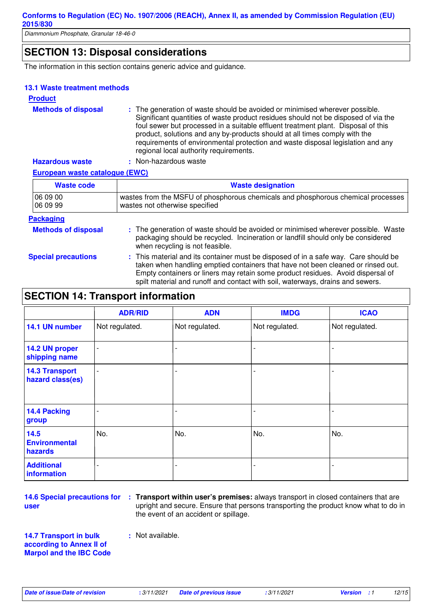# **SECTION 13: Disposal considerations**

The information in this section contains generic advice and guidance.

#### **13.1 Waste treatment methods**

#### **Product**

**Hazardous waste :** Non-hazardous waste **Methods of disposal :** The generation of waste should be avoided or minimised wherever possible. Significant quantities of waste product residues should not be disposed of via the foul sewer but processed in a suitable effluent treatment plant. Disposal of this product, solutions and any by-products should at all times comply with the requirements of environmental protection and waste disposal legislation and any regional local authority requirements.

| <u>TREADOUS MASIC</u>          |  |
|--------------------------------|--|
| European waste catalogue (EWC) |  |

| <b>Waste code</b>          | <b>Waste designation</b><br>wastes from the MSFU of phosphorous chemicals and phosphorous chemical processes<br>wastes not otherwise specified                                                                                                                                                                                               |  |
|----------------------------|----------------------------------------------------------------------------------------------------------------------------------------------------------------------------------------------------------------------------------------------------------------------------------------------------------------------------------------------|--|
| 06 09 00<br>06 09 99       |                                                                                                                                                                                                                                                                                                                                              |  |
| <b>Packaging</b>           |                                                                                                                                                                                                                                                                                                                                              |  |
| <b>Methods of disposal</b> | : The generation of waste should be avoided or minimised wherever possible. Waste<br>packaging should be recycled. Incineration or landfill should only be considered<br>when recycling is not feasible.                                                                                                                                     |  |
| <b>Special precautions</b> | : This material and its container must be disposed of in a safe way. Care should be<br>taken when handling emptied containers that have not been cleaned or rinsed out.<br>Empty containers or liners may retain some product residues. Avoid dispersal of<br>spilt material and runoff and contact with soil, waterways, drains and sewers. |  |

# **SECTION 14: Transport information**

|                                           | <b>ADR/RID</b>           | <b>ADN</b>               | <b>IMDG</b>    | <b>ICAO</b>                  |
|-------------------------------------------|--------------------------|--------------------------|----------------|------------------------------|
| 14.1 UN number                            | Not regulated.           | Not regulated.           | Not regulated. | Not regulated.               |
| 14.2 UN proper<br>shipping name           | $\overline{\phantom{a}}$ | $\overline{\phantom{0}}$ |                | $\qquad \qquad \blacksquare$ |
| <b>14.3 Transport</b><br>hazard class(es) | $\overline{\phantom{a}}$ |                          |                | $\overline{\phantom{0}}$     |
| 14.4 Packing<br>group                     | $\overline{\phantom{0}}$ |                          |                |                              |
| 14.5<br><b>Environmental</b><br>hazards   | No.                      | No.                      | No.            | No.                          |
| <b>Additional</b><br>information          |                          |                          |                |                              |

**user**

**14.6 Special precautions for** : Transport within user's premises: always transport in closed containers that are upright and secure. Ensure that persons transporting the product know what to do in the event of an accident or spillage.

**14.7 Transport in bulk according to Annex II of Marpol and the IBC Code** **:** Not available.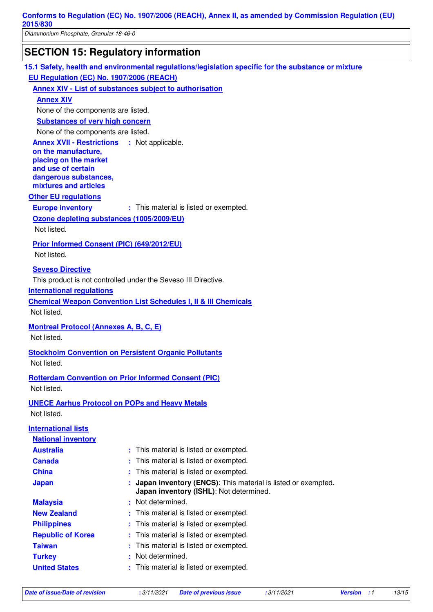Diammonium Phosphate, Granular 18-46-0

# **SECTION 15: Regulatory information**

|                                                                           | 15.1 Safety, health and environmental regulations/legislation specific for the substance or mixture |
|---------------------------------------------------------------------------|-----------------------------------------------------------------------------------------------------|
| EU Regulation (EC) No. 1907/2006 (REACH)                                  |                                                                                                     |
|                                                                           | <b>Annex XIV - List of substances subject to authorisation</b>                                      |
| <b>Annex XIV</b>                                                          |                                                                                                     |
| None of the components are listed.                                        |                                                                                                     |
| <b>Substances of very high concern</b>                                    |                                                                                                     |
| None of the components are listed.                                        |                                                                                                     |
| <b>Annex XVII - Restrictions : Not applicable.</b><br>on the manufacture, |                                                                                                     |
| placing on the market                                                     |                                                                                                     |
| and use of certain                                                        |                                                                                                     |
| dangerous substances,<br>mixtures and articles                            |                                                                                                     |
| <b>Other EU regulations</b>                                               |                                                                                                     |
| <b>Europe inventory</b>                                                   | : This material is listed or exempted.                                                              |
| Ozone depleting substances (1005/2009/EU)                                 |                                                                                                     |
| Not listed.                                                               |                                                                                                     |
| <b>Prior Informed Consent (PIC) (649/2012/EU)</b>                         |                                                                                                     |
| Not listed.                                                               |                                                                                                     |
| <b>Seveso Directive</b>                                                   |                                                                                                     |
|                                                                           | This product is not controlled under the Seveso III Directive.                                      |
| <b>International regulations</b>                                          |                                                                                                     |
|                                                                           | <b>Chemical Weapon Convention List Schedules I, II &amp; III Chemicals</b>                          |
| Not listed.                                                               |                                                                                                     |
| <b>Montreal Protocol (Annexes A, B, C, E)</b>                             |                                                                                                     |
| Not listed.                                                               |                                                                                                     |
|                                                                           | <b>Stockholm Convention on Persistent Organic Pollutants</b>                                        |
| Not listed.                                                               |                                                                                                     |
|                                                                           | <b>Rotterdam Convention on Prior Informed Consent (PIC)</b>                                         |
| Not listed.                                                               |                                                                                                     |
| <b>UNECE Aarhus Protocol on POPs and Heavy Metals</b>                     |                                                                                                     |
| Not listed.                                                               |                                                                                                     |
|                                                                           |                                                                                                     |
| <b>International lists</b>                                                |                                                                                                     |
| <b>National inventory</b><br><b>Australia</b>                             | : This material is listed or exempted.                                                              |
| <b>Canada</b>                                                             | This material is listed or exempted.                                                                |
| <b>China</b>                                                              | This material is listed or exempted.                                                                |
| <b>Japan</b>                                                              | Japan inventory (ENCS): This material is listed or exempted.                                        |
|                                                                           | Japan inventory (ISHL): Not determined.                                                             |
| <b>Malaysia</b>                                                           | Not determined.                                                                                     |
| <b>New Zealand</b>                                                        | This material is listed or exempted.                                                                |
| <b>Philippines</b>                                                        | This material is listed or exempted.                                                                |
| <b>Republic of Korea</b>                                                  | This material is listed or exempted.                                                                |
| <b>Taiwan</b>                                                             | This material is listed or exempted.                                                                |
| <b>Turkey</b>                                                             | Not determined.                                                                                     |
| <b>United States</b>                                                      | This material is listed or exempted.                                                                |
|                                                                           |                                                                                                     |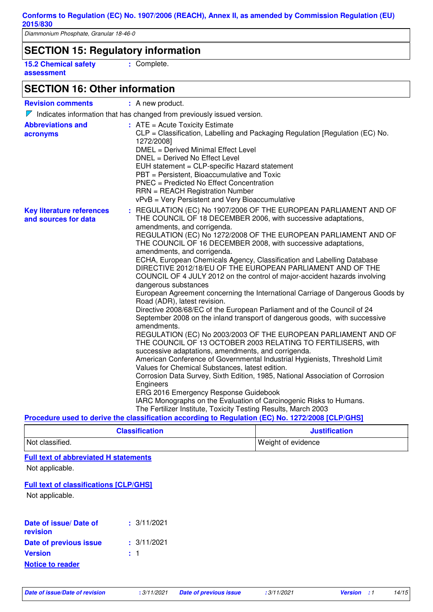## **SECTION 15: Regulatory information**

**15.2 Chemical safety assessment**

**:** Complete.

## **SECTION 16: Other information**

**Revision comments** : A new product.

 $\nabla$  Indicates information that has changed from previously issued version.

| CLP = Classification, Labelling and Packaging Regulation [Regulation (EC) No.<br>acronyms<br>1272/2008]                                                                                       |
|-----------------------------------------------------------------------------------------------------------------------------------------------------------------------------------------------|
| DMEL = Derived Minimal Effect Level                                                                                                                                                           |
| DNEL = Derived No Effect Level                                                                                                                                                                |
| EUH statement = CLP-specific Hazard statement                                                                                                                                                 |
| PBT = Persistent, Bioaccumulative and Toxic                                                                                                                                                   |
| PNEC = Predicted No Effect Concentration                                                                                                                                                      |
| RRN = REACH Registration Number                                                                                                                                                               |
| vPvB = Very Persistent and Very Bioaccumulative                                                                                                                                               |
| : REGULATION (EC) No 1907/2006 OF THE EUROPEAN PARLIAMENT AND OF<br><b>Key literature references</b><br>THE COUNCIL OF 18 DECEMBER 2006, with successive adaptations,<br>and sources for data |
| amendments, and corrigenda.                                                                                                                                                                   |
| REGULATION (EC) No 1272/2008 OF THE EUROPEAN PARLIAMENT AND OF<br>THE COUNCIL OF 16 DECEMBER 2008, with successive adaptations,<br>amendments, and corrigenda.                                |
| ECHA, European Chemicals Agency, Classification and Labelling Database                                                                                                                        |
| DIRECTIVE 2012/18/EU OF THE EUROPEAN PARLIAMENT AND OF THE                                                                                                                                    |
| COUNCIL OF 4 JULY 2012 on the control of major-accident hazards involving                                                                                                                     |
| dangerous substances                                                                                                                                                                          |
| European Agreement concerning the International Carriage of Dangerous Goods by<br>Road (ADR), latest revision.                                                                                |
| Directive 2008/68/EC of the European Parliament and of the Council of 24                                                                                                                      |
| September 2008 on the inland transport of dangerous goods, with successive                                                                                                                    |
| amendments.                                                                                                                                                                                   |
| REGULATION (EC) No 2003/2003 OF THE EUROPEAN PARLIAMENT AND OF<br>THE COUNCIL OF 13 OCTOBER 2003 RELATING TO FERTILISERS, with                                                                |
| successive adaptations, amendments, and corrigenda.                                                                                                                                           |
| American Conference of Governmental Industrial Hygienists, Threshold Limit                                                                                                                    |
| Values for Chemical Substances, latest edition.                                                                                                                                               |
| Corrosion Data Survey, Sixth Edition, 1985, National Association of Corrosion                                                                                                                 |
| Engineers<br>ERG 2016 Emergency Response Guidebook                                                                                                                                            |
| IARC Monographs on the Evaluation of Carcinogenic Risks to Humans.                                                                                                                            |
| The Fertilizer Institute, Toxicity Testing Results, March 2003                                                                                                                                |
| Procedure used to derive the classification according to Regulation (EC) No. 1272/2008 [CLP/GHS]                                                                                              |

| <b>Classification</b> | <b>Justification</b> |
|-----------------------|----------------------|
| Not classified.       | Weight of evidence   |

#### **Full text of abbreviated H statements**

Not applicable.

#### **Full text of classifications [CLP/GHS]**

Not applicable.

| Date of issue/Date of<br>revision | : 3/11/2021 |
|-----------------------------------|-------------|
| Date of previous issue            | : 3/11/2021 |
| <b>Version</b>                    | t 1         |
| <b>Notice to reader</b>           |             |